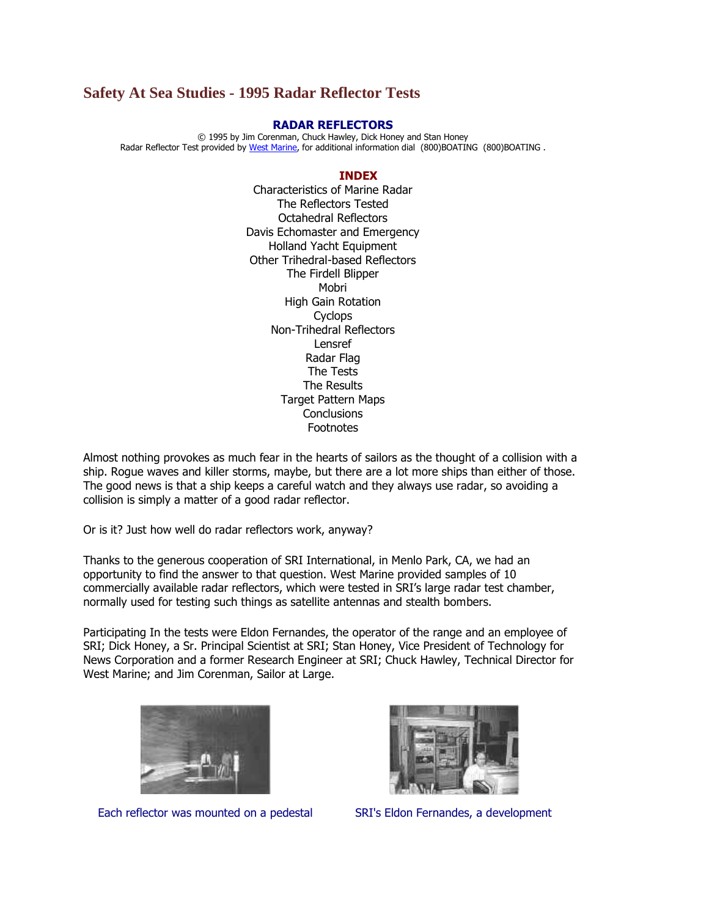# **Safety At Sea Studies - 1995 Radar Reflector Tests**

### **RADAR REFLECTORS**

© 1995 by Jim Corenman, Chuck Hawley, Dick Honey and Stan Honey Radar Reflector Test provided by [West Marine,](http://www.westmarine.com/) for additional information dial (800)BOATING (800)BOATING .

#### **INDEX**

Characteristics of Marine Radar The Reflectors Tested Octahedral Reflectors Davis Echomaster and Emergency Holland Yacht Equipment Other Trihedral-based Reflectors The Firdell Blipper Mobri High Gain Rotation **Cyclops** Non-Trihedral Reflectors Lensref Radar Flag The Tests The Results Target Pattern Maps **Conclusions** Footnotes

Almost nothing provokes as much fear in the hearts of sailors as the thought of a collision with a ship. Rogue waves and killer storms, maybe, but there are a lot more ships than either of those. The good news is that a ship keeps a careful watch and they always use radar, so avoiding a collision is simply a matter of a good radar reflector.

Or is it? Just how well do radar reflectors work, anyway?

Thanks to the generous cooperation of SRI International, in Menlo Park, CA, we had an opportunity to find the answer to that question. West Marine provided samples of 10 commercially available radar reflectors, which were tested in SRI's large radar test chamber, normally used for testing such things as satellite antennas and stealth bombers.

Participating In the tests were Eldon Fernandes, the operator of the range and an employee of SRI; Dick Honey, a Sr. Principal Scientist at SRI; Stan Honey, Vice President of Technology for News Corporation and a former Research Engineer at SRI; Chuck Hawley, Technical Director for West Marine; and Jim Corenman, Sailor at Large.



Each reflector was mounted on a pedestal SRI's Eldon Fernandes, a development

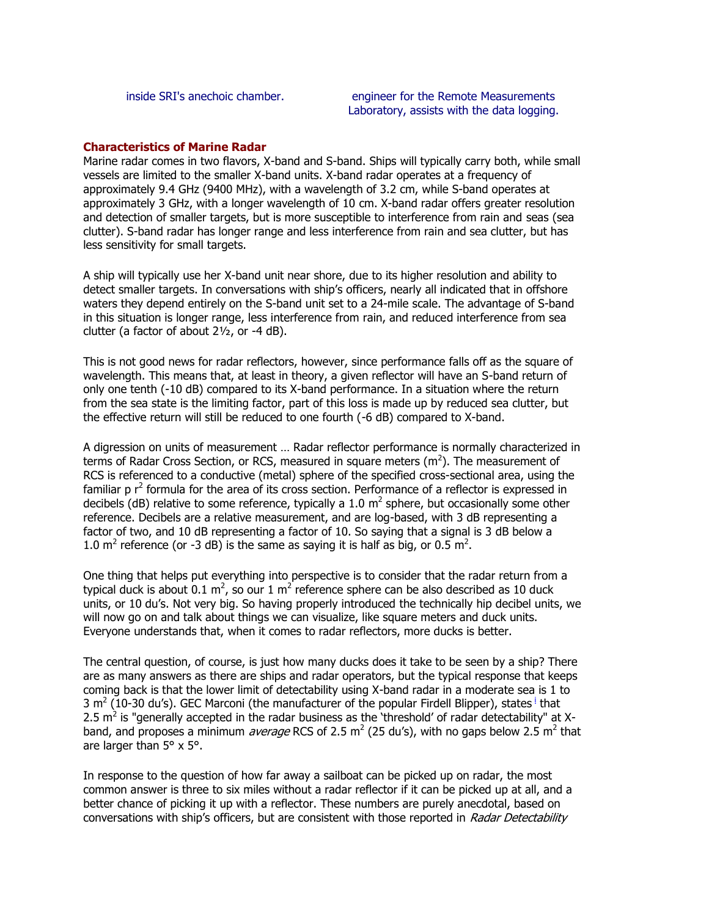## **Characteristics of Marine Radar**

Marine radar comes in two flavors, X-band and S-band. Ships will typically carry both, while small vessels are limited to the smaller X-band units. X-band radar operates at a frequency of approximately 9.4 GHz (9400 MHz), with a wavelength of 3.2 cm, while S-band operates at approximately 3 GHz, with a longer wavelength of 10 cm. X-band radar offers greater resolution and detection of smaller targets, but is more susceptible to interference from rain and seas (sea clutter). S-band radar has longer range and less interference from rain and sea clutter, but has less sensitivity for small targets.

A ship will typically use her X-band unit near shore, due to its higher resolution and ability to detect smaller targets. In conversations with ship's officers, nearly all indicated that in offshore waters they depend entirely on the S-band unit set to a 24-mile scale. The advantage of S-band in this situation is longer range, less interference from rain, and reduced interference from sea clutter (a factor of about 2½, or -4 dB).

This is not good news for radar reflectors, however, since performance falls off as the square of wavelength. This means that, at least in theory, a given reflector will have an S-band return of only one tenth (-10 dB) compared to its X-band performance. In a situation where the return from the sea state is the limiting factor, part of this loss is made up by reduced sea clutter, but the effective return will still be reduced to one fourth (-6 dB) compared to X-band.

A digression on units of measurement … Radar reflector performance is normally characterized in terms of Radar Cross Section, or RCS, measured in square meters ( $m^2$ ). The measurement of RCS is referenced to a conductive (metal) sphere of the specified cross-sectional area, using the familiar  $p r^2$  formula for the area of its cross section. Performance of a reflector is expressed in decibels (dB) relative to some reference, typically a 1.0  $m^2$  sphere, but occasionally some other reference. Decibels are a relative measurement, and are log-based, with 3 dB representing a factor of two, and 10 dB representing a factor of 10. So saying that a signal is 3 dB below a 1.0 m<sup>2</sup> reference (or -3 dB) is the same as saying it is half as big, or 0.5 m<sup>2</sup>.

One thing that helps put everything into perspective is to consider that the radar return from a typical duck is about 0.1 m<sup>2</sup>, so our 1 m<sup>2</sup> reference sphere can be also described as 10 duck units, or 10 du's. Not very big. So having properly introduced the technically hip decibel units, we will now go on and talk about things we can visualize, like square meters and duck units. Everyone understands that, when it comes to radar reflectors, more ducks is better.

The central question, of course, is just how many ducks does it take to be seen by a ship? There are as many answers as there are ships and radar operators, but the typical response that keeps coming back is that the lower limit of detectability using X-band radar in a moderate sea is 1 to 3 m<sup>2</sup> (10-30 du's). GEC Marcon[i](http://www.ussailing.org/Safety/Studies/radar_reflector_4.asp#Footnote I) (the manufacturer of the popular Firdell Blipper), states <sup>i</sup> that 2.5 m<sup>2</sup> is "generally accepted in the radar business as the 'threshold' of radar detectability" at Xband, and proposes a minimum *average* RCS of 2.5 m<sup>2</sup> (25 du's), with no gaps below 2.5 m<sup>2</sup> that are larger than 5° x 5°.

In response to the question of how far away a sailboat can be picked up on radar, the most common answer is three to six miles without a radar reflector if it can be picked up at all, and a better chance of picking it up with a reflector. These numbers are purely anecdotal, based on conversations with ship's officers, but are consistent with those reported in Radar Detectability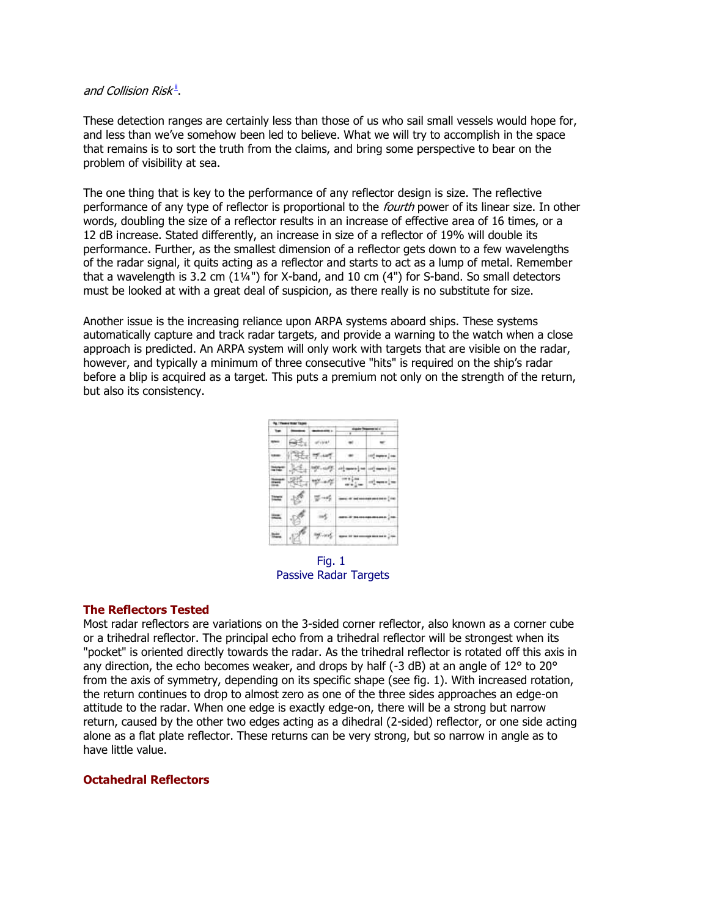### and Collision Risk $^{\underline{\text{ii}}}$ [.](http://www.ussailing.org/Safety/Studies/radar_reflector_4.asp#Footnote ii)

These detection ranges are certainly less than those of us who sail small vessels would hope for, and less than we've somehow been led to believe. What we will try to accomplish in the space that remains is to sort the truth from the claims, and bring some perspective to bear on the problem of visibility at sea.

The one thing that is key to the performance of any reflector design is size. The reflective performance of any type of reflector is proportional to the *fourth* power of its linear size. In other words, doubling the size of a reflector results in an increase of effective area of 16 times, or a 12 dB increase. Stated differently, an increase in size of a reflector of 19% will double its performance. Further, as the smallest dimension of a reflector gets down to a few wavelengths of the radar signal, it quits acting as a reflector and starts to act as a lump of metal. Remember that a wavelength is 3.2 cm  $(1\frac{1}{4})$  for X-band, and 10 cm  $(4")$  for S-band. So small detectors must be looked at with a great deal of suspicion, as there really is no substitute for size.

Another issue is the increasing reliance upon ARPA systems aboard ships. These systems automatically capture and track radar targets, and provide a warning to the watch when a close approach is predicted. An ARPA system will only work with targets that are visible on the radar, however, and typically a minimum of three consecutive "hits" is required on the ship's radar before a blip is acquired as a target. This puts a premium not only on the strength of the return, but also its consistency.

| Jos. |     |                      |         |  |  |  |
|------|-----|----------------------|---------|--|--|--|
|      | 4 T | 19<br>an an          |         |  |  |  |
|      |     | <b>There</b> are the |         |  |  |  |
|      |     |                      | ATH THE |  |  |  |
|      |     |                      |         |  |  |  |

Fig. 1 Passive Radar Targets

### **The Reflectors Tested**

Most radar reflectors are variations on the 3-sided corner reflector, also known as a corner cube or a trihedral reflector. The principal echo from a trihedral reflector will be strongest when its "pocket" is oriented directly towards the radar. As the trihedral reflector is rotated off this axis in any direction, the echo becomes weaker, and drops by half (-3 dB) at an angle of 12° to 20° from the axis of symmetry, depending on its specific shape (see fig. 1). With increased rotation, the return continues to drop to almost zero as one of the three sides approaches an edge-on attitude to the radar. When one edge is exactly edge-on, there will be a strong but narrow return, caused by the other two edges acting as a dihedral (2-sided) reflector, or one side acting alone as a flat plate reflector. These returns can be very strong, but so narrow in angle as to have little value.

### **Octahedral Reflectors**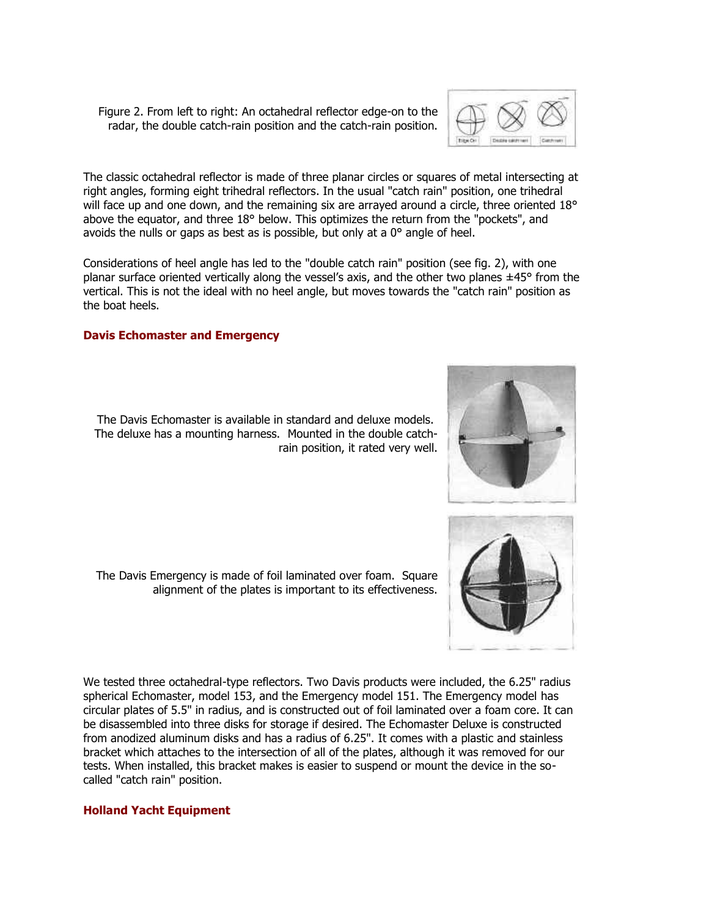Figure 2. From left to right: An octahedral reflector edge-on to the radar, the double catch-rain position and the catch-rain position.



The classic octahedral reflector is made of three planar circles or squares of metal intersecting at right angles, forming eight trihedral reflectors. In the usual "catch rain" position, one trihedral will face up and one down, and the remaining six are arrayed around a circle, three oriented 18° above the equator, and three 18° below. This optimizes the return from the "pockets", and avoids the nulls or gaps as best as is possible, but only at a 0° angle of heel.

Considerations of heel angle has led to the "double catch rain" position (see fig. 2), with one planar surface oriented vertically along the vessel's axis, and the other two planes  $\pm 45^\circ$  from the vertical. This is not the ideal with no heel angle, but moves towards the "catch rain" position as the boat heels.

# **Davis Echomaster and Emergency**

The Davis Echomaster is available in standard and deluxe models. The deluxe has a mounting harness. Mounted in the double catchrain position, it rated very well.

The Davis Emergency is made of foil laminated over foam. Square alignment of the plates is important to its effectiveness.





We tested three octahedral-type reflectors. Two Davis products were included, the 6.25" radius spherical Echomaster, model 153, and the Emergency model 151. The Emergency model has circular plates of 5.5" in radius, and is constructed out of foil laminated over a foam core. It can be disassembled into three disks for storage if desired. The Echomaster Deluxe is constructed from anodized aluminum disks and has a radius of 6.25". It comes with a plastic and stainless bracket which attaches to the intersection of all of the plates, although it was removed for our tests. When installed, this bracket makes is easier to suspend or mount the device in the socalled "catch rain" position.

# **Holland Yacht Equipment**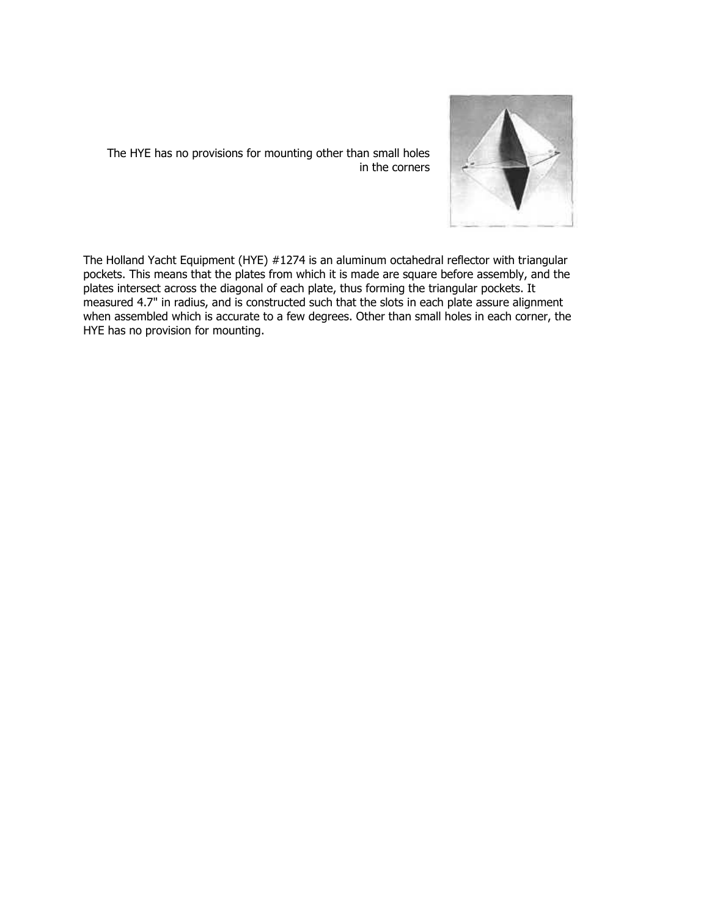

The HYE has no provisions for mounting other than small holes in the corners

The Holland Yacht Equipment (HYE) #1274 is an aluminum octahedral reflector with triangular pockets. This means that the plates from which it is made are square before assembly, and the plates intersect across the diagonal of each plate, thus forming the triangular pockets. It measured 4.7" in radius, and is constructed such that the slots in each plate assure alignment when assembled which is accurate to a few degrees. Other than small holes in each corner, the HYE has no provision for mounting.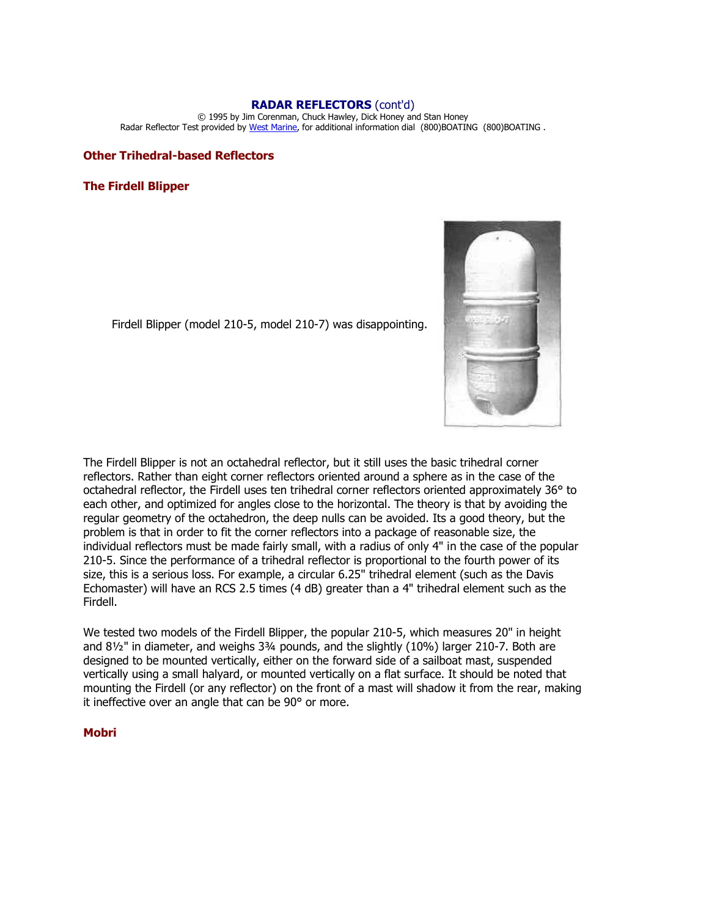#### **RADAR REFLECTORS** (cont'd)

© 1995 by Jim Corenman, Chuck Hawley, Dick Honey and Stan Honey Radar Reflector Test provided by [West Marine,](http://www.westmarine.com/) for additional information dial (800)BOATING (800)BOATING .

#### **Other Trihedral-based Reflectors**

#### **The Firdell Blipper**



Firdell Blipper (model 210-5, model 210-7) was disappointing.

The Firdell Blipper is not an octahedral reflector, but it still uses the basic trihedral corner reflectors. Rather than eight corner reflectors oriented around a sphere as in the case of the octahedral reflector, the Firdell uses ten trihedral corner reflectors oriented approximately 36° to each other, and optimized for angles close to the horizontal. The theory is that by avoiding the regular geometry of the octahedron, the deep nulls can be avoided. Its a good theory, but the problem is that in order to fit the corner reflectors into a package of reasonable size, the individual reflectors must be made fairly small, with a radius of only 4" in the case of the popular 210-5. Since the performance of a trihedral reflector is proportional to the fourth power of its size, this is a serious loss. For example, a circular 6.25" trihedral element (such as the Davis Echomaster) will have an RCS 2.5 times (4 dB) greater than a 4" trihedral element such as the Firdell.

We tested two models of the Firdell Blipper, the popular 210-5, which measures 20" in height and 8½" in diameter, and weighs 3¾ pounds, and the slightly (10%) larger 210-7. Both are designed to be mounted vertically, either on the forward side of a sailboat mast, suspended vertically using a small halyard, or mounted vertically on a flat surface. It should be noted that mounting the Firdell (or any reflector) on the front of a mast will shadow it from the rear, making it ineffective over an angle that can be 90° or more.

## **Mobri**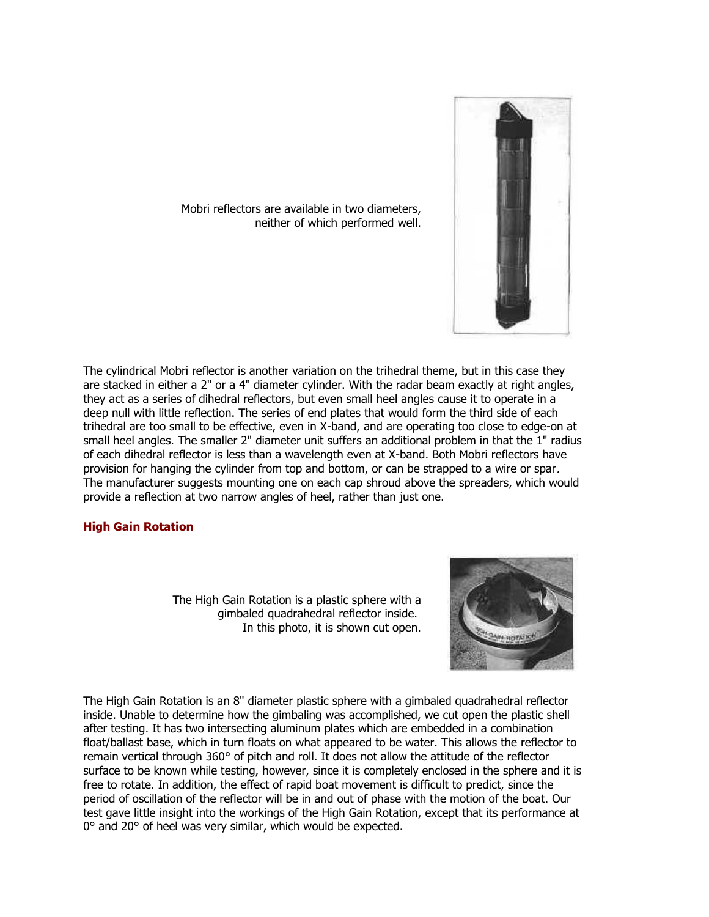

Mobri reflectors are available in two diameters, neither of which performed well.

The cylindrical Mobri reflector is another variation on the trihedral theme, but in this case they are stacked in either a 2" or a 4" diameter cylinder. With the radar beam exactly at right angles, they act as a series of dihedral reflectors, but even small heel angles cause it to operate in a deep null with little reflection. The series of end plates that would form the third side of each trihedral are too small to be effective, even in X-band, and are operating too close to edge-on at small heel angles. The smaller 2" diameter unit suffers an additional problem in that the 1" radius of each dihedral reflector is less than a wavelength even at X-band. Both Mobri reflectors have provision for hanging the cylinder from top and bottom, or can be strapped to a wire or spar. The manufacturer suggests mounting one on each cap shroud above the spreaders, which would provide a reflection at two narrow angles of heel, rather than just one.

### **High Gain Rotation**

The High Gain Rotation is a plastic sphere with a gimbaled quadrahedral reflector inside. In this photo, it is shown cut open.



The High Gain Rotation is an 8" diameter plastic sphere with a gimbaled quadrahedral reflector inside. Unable to determine how the gimbaling was accomplished, we cut open the plastic shell after testing. It has two intersecting aluminum plates which are embedded in a combination float/ballast base, which in turn floats on what appeared to be water. This allows the reflector to remain vertical through 360° of pitch and roll. It does not allow the attitude of the reflector surface to be known while testing, however, since it is completely enclosed in the sphere and it is free to rotate. In addition, the effect of rapid boat movement is difficult to predict, since the period of oscillation of the reflector will be in and out of phase with the motion of the boat. Our test gave little insight into the workings of the High Gain Rotation, except that its performance at 0° and 20° of heel was very similar, which would be expected.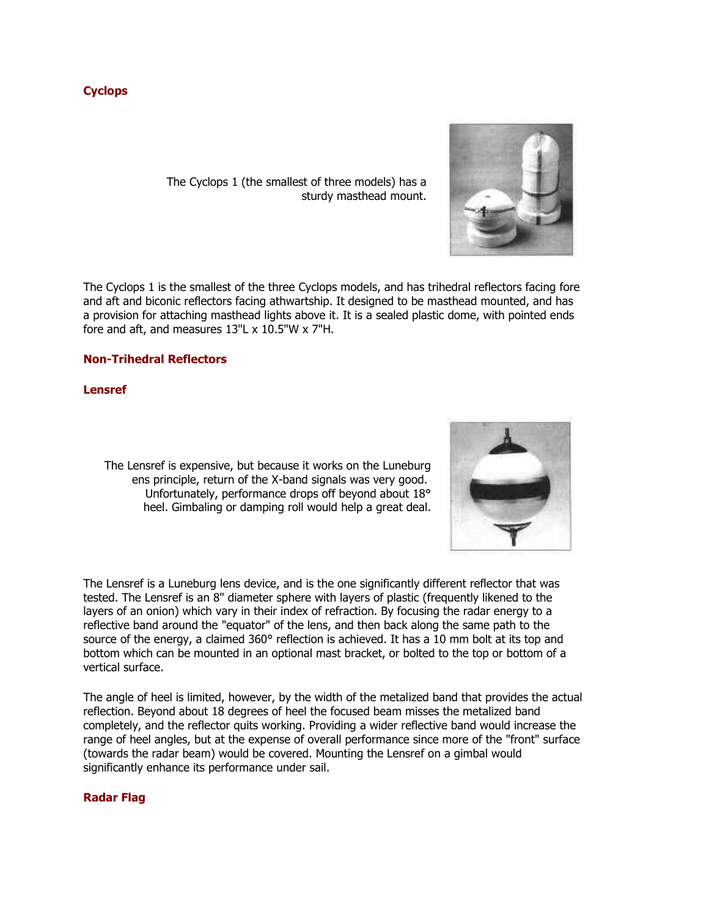# **Cyclops**

The Cyclops 1 (the smallest of three models) has a sturdy masthead mount.

The Cyclops 1 is the smallest of the three Cyclops models, and has trihedral reflectors facing fore and aft and biconic reflectors facing athwartship. It designed to be masthead mounted, and has a provision for attaching masthead lights above it. It is a sealed plastic dome, with pointed ends fore and aft, and measures 13"L x 10.5"W x 7"H.

# **Non-Trihedral Reflectors**

**Lensref** 

The Lensref is expensive, but because it works on the Luneburg ens principle, return of the X-band signals was very good. Unfortunately, performance drops off beyond about 18° heel. Gimbaling or damping roll would help a great deal.

The Lensref is a Luneburg lens device, and is the one significantly different reflector that was tested. The Lensref is an 8" diameter sphere with layers of plastic (frequently likened to the layers of an onion) which vary in their index of refraction. By focusing the radar energy to a reflective band around the "equator" of the lens, and then back along the same path to the source of the energy, a claimed 360° reflection is achieved. It has a 10 mm bolt at its top and bottom which can be mounted in an optional mast bracket, or bolted to the top or bottom of a vertical surface.

The angle of heel is limited, however, by the width of the metalized band that provides the actual reflection. Beyond about 18 degrees of heel the focused beam misses the metalized band completely, and the reflector quits working. Providing a wider reflective band would increase the range of heel angles, but at the expense of overall performance since more of the "front" surface (towards the radar beam) would be covered. Mounting the Lensref on a gimbal would significantly enhance its performance under sail.

### **Radar Flag**



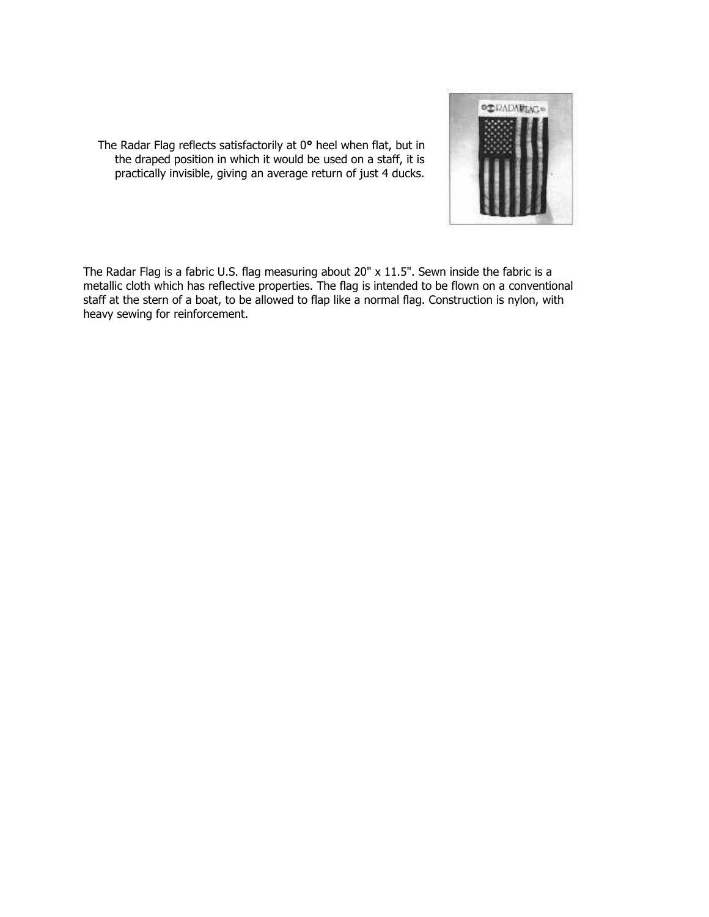

The Radar Flag reflects satisfactorily at 0**°** heel when flat, but in the draped position in which it would be used on a staff, it is practically invisible, giving an average return of just 4 ducks.

The Radar Flag is a fabric U.S. flag measuring about 20" x 11.5". Sewn inside the fabric is a metallic cloth which has reflective properties. The flag is intended to be flown on a conventional staff at the stern of a boat, to be allowed to flap like a normal flag. Construction is nylon, with heavy sewing for reinforcement.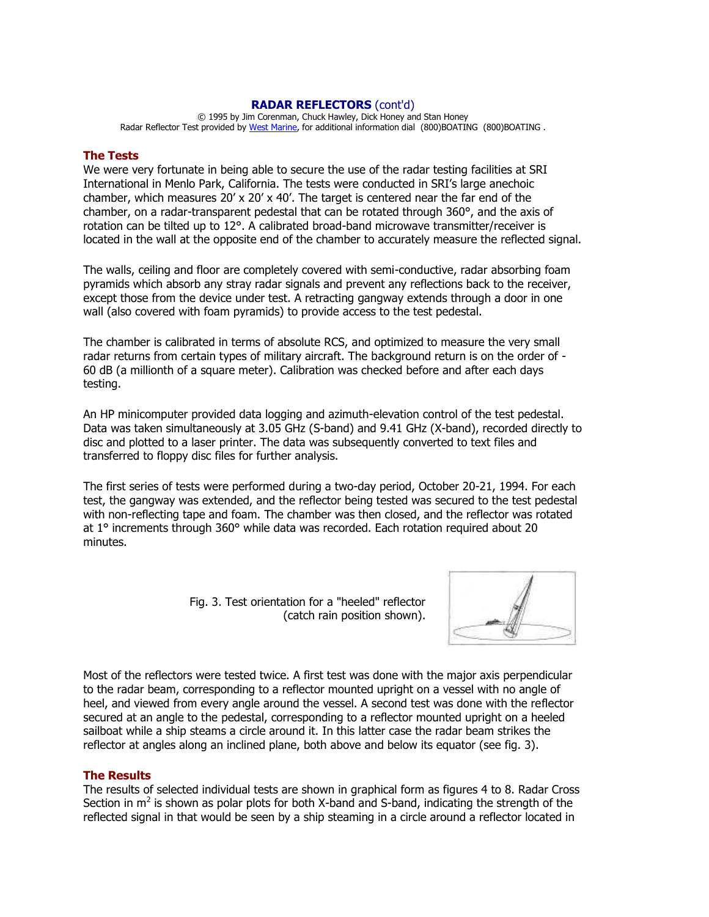### **RADAR REFLECTORS** (cont'd)

© 1995 by Jim Corenman, Chuck Hawley, Dick Honey and Stan Honey Radar Reflector Test provided by [West Marine,](http://www.westmarine.com/) for additional information dial (800)BOATING (800)BOATING .

#### **The Tests**

We were very fortunate in being able to secure the use of the radar testing facilities at SRI International in Menlo Park, California. The tests were conducted in SRI's large anechoic chamber, which measures  $20' \times 20' \times 40'$ . The target is centered near the far end of the chamber, on a radar-transparent pedestal that can be rotated through 360°, and the axis of rotation can be tilted up to 12°. A calibrated broad-band microwave transmitter/receiver is located in the wall at the opposite end of the chamber to accurately measure the reflected signal.

The walls, ceiling and floor are completely covered with semi-conductive, radar absorbing foam pyramids which absorb any stray radar signals and prevent any reflections back to the receiver, except those from the device under test. A retracting gangway extends through a door in one wall (also covered with foam pyramids) to provide access to the test pedestal.

The chamber is calibrated in terms of absolute RCS, and optimized to measure the very small radar returns from certain types of military aircraft. The background return is on the order of - 60 dB (a millionth of a square meter). Calibration was checked before and after each days testing.

An HP minicomputer provided data logging and azimuth-elevation control of the test pedestal. Data was taken simultaneously at 3.05 GHz (S-band) and 9.41 GHz (X-band), recorded directly to disc and plotted to a laser printer. The data was subsequently converted to text files and transferred to floppy disc files for further analysis.

The first series of tests were performed during a two-day period, October 20-21, 1994. For each test, the gangway was extended, and the reflector being tested was secured to the test pedestal with non-reflecting tape and foam. The chamber was then closed, and the reflector was rotated at 1° increments through 360° while data was recorded. Each rotation required about 20 minutes.

> Fig. 3. Test orientation for a "heeled" reflector (catch rain position shown).



Most of the reflectors were tested twice. A first test was done with the major axis perpendicular to the radar beam, corresponding to a reflector mounted upright on a vessel with no angle of heel, and viewed from every angle around the vessel. A second test was done with the reflector secured at an angle to the pedestal, corresponding to a reflector mounted upright on a heeled sailboat while a ship steams a circle around it. In this latter case the radar beam strikes the reflector at angles along an inclined plane, both above and below its equator (see fig. 3).

### **The Results**

The results of selected individual tests are shown in graphical form as figures 4 to 8. Radar Cross Section in  $m^2$  is shown as polar plots for both X-band and S-band, indicating the strength of the reflected signal in that would be seen by a ship steaming in a circle around a reflector located in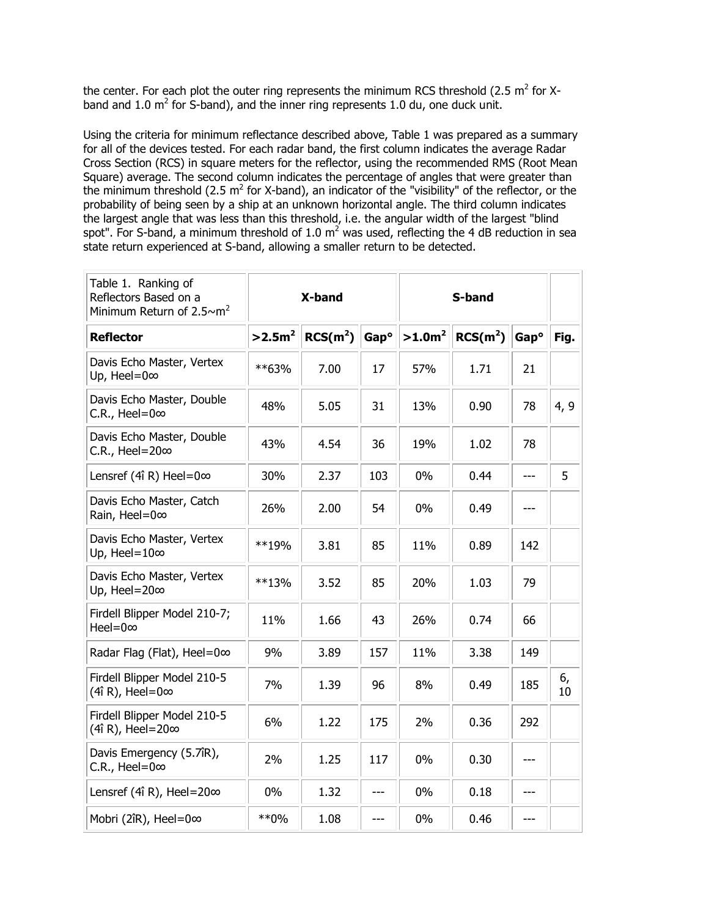the center. For each plot the outer ring represents the minimum RCS threshold (2.5 m<sup>2</sup> for Xband and 1.0  $m^2$  for S-band), and the inner ring represents 1.0 du, one duck unit.

Using the criteria for minimum reflectance described above, Table 1 was prepared as a summary for all of the devices tested. For each radar band, the first column indicates the average Radar Cross Section (RCS) in square meters for the reflector, using the recommended RMS (Root Mean Square) average. The second column indicates the percentage of angles that were greater than the minimum threshold (2.5  $m^2$  for X-band), an indicator of the "visibility" of the reflector, or the probability of being seen by a ship at an unknown horizontal angle. The third column indicates the largest angle that was less than this threshold, i.e. the angular width of the largest "blind spot". For S-band, a minimum threshold of 1.0  $m^2$  was used, reflecting the 4 dB reduction in sea state return experienced at S-band, allowing a smaller return to be detected.

| Table 1. Ranking of<br>Reflectors Based on a<br>Minimum Return of 2.5 $\sim$ m <sup>2</sup> | X-band   |                      |                  | S-band    |                      |                  |          |
|---------------------------------------------------------------------------------------------|----------|----------------------|------------------|-----------|----------------------|------------------|----------|
| <b>Reflector</b>                                                                            | $>2.5m2$ | RCS(m <sup>2</sup> ) | Gap <sup>o</sup> | $>1.0m^2$ | RCS(m <sup>2</sup> ) | Gap <sup>o</sup> | Fig.     |
| Davis Echo Master, Vertex<br>Up, Heel=0 $\infty$                                            | **63%    | 7.00                 | 17               | 57%       | 1.71                 | 21               |          |
| Davis Echo Master, Double<br>C.R., Heel=0 $\infty$                                          | 48%      | 5.05                 | 31               | 13%       | 0.90                 | 78               | 4, 9     |
| Davis Echo Master, Double<br>C.R., Heel=20 $\infty$                                         | 43%      | 4.54                 | 36               | 19%       | 1.02                 | 78               |          |
| Lensref (4î R) Heel=0 $\infty$                                                              | 30%      | 2.37                 | 103              | 0%        | 0.44                 | $---$            | 5        |
| Davis Echo Master, Catch<br>Rain, Heel=0∞                                                   | 26%      | 2.00                 | 54               | $0\%$     | 0.49                 | ---              |          |
| Davis Echo Master, Vertex<br>Up, Heel= $10\infty$                                           | **19%    | 3.81                 | 85               | 11%       | 0.89                 | 142              |          |
| Davis Echo Master, Vertex<br>Up, Heel=20∞                                                   | $***13%$ | 3.52                 | 85               | 20%       | 1.03                 | 79               |          |
| Firdell Blipper Model 210-7;<br>Heel=0 $\infty$                                             | 11%      | 1.66                 | 43               | 26%       | 0.74                 | 66               |          |
| Radar Flag (Flat), Heel=0∞                                                                  | 9%       | 3.89                 | 157              | 11%       | 3.38                 | 149              |          |
| Firdell Blipper Model 210-5<br>(4î R), Heel=0 $\infty$                                      | 7%       | 1.39                 | 96               | 8%        | 0.49                 | 185              | 6,<br>10 |
| Firdell Blipper Model 210-5<br>(4î R), Heel=20∞                                             | 6%       | 1.22                 | 175              | 2%        | 0.36                 | 292              |          |
| Davis Emergency (5.7îR),<br>C.R., Heel=0 $\infty$                                           | 2%       | 1.25                 | 117              | 0%        | 0.30                 | $---$            |          |
| Lensref (4î R), Heel=20 $\infty$                                                            | $0\%$    | 1.32                 | $---$            | 0%        | 0.18                 | ---              |          |
| Mobri (2îR), Heel=0∞                                                                        | $**0\%$  | 1.08                 | ---              | 0%        | 0.46                 | ---              |          |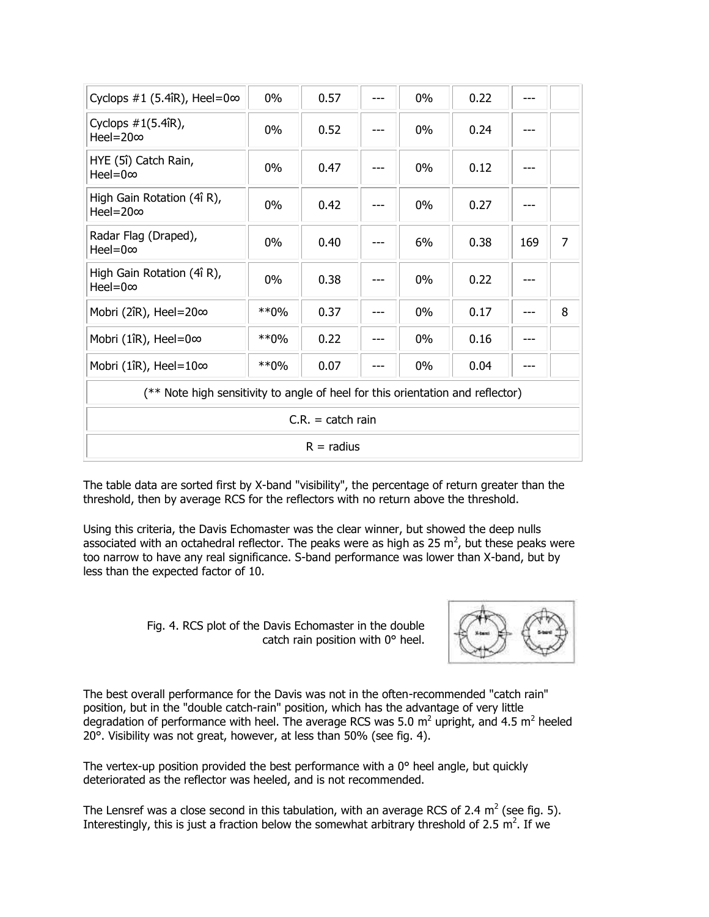| Cyclops #1 (5.4îR), Heel=0 $\infty$                                            | 0%      | 0.57 |  | 0%    | 0.22 |     |   |  |  |
|--------------------------------------------------------------------------------|---------|------|--|-------|------|-----|---|--|--|
| Cyclops $\#1(5.4$ îR),<br>Heel=20 $\infty$                                     | $0\%$   | 0.52 |  | $0\%$ | 0.24 |     |   |  |  |
| HYE (5î) Catch Rain,<br>$Heel=0\infty$                                         | $0\%$   | 0.47 |  | $0\%$ | 0.12 |     |   |  |  |
| High Gain Rotation (4î R),<br>Heel= $20\infty$                                 | $0\%$   | 0.42 |  | $0\%$ | 0.27 |     |   |  |  |
| Radar Flag (Draped),<br>$Heel=0\infty$                                         | 0%      | 0.40 |  | 6%    | 0.38 | 169 | 7 |  |  |
| High Gain Rotation (4î R),<br>Heel=0 $\infty$                                  | 0%      | 0.38 |  | $0\%$ | 0.22 |     |   |  |  |
| Mobri (2îR), Heel=20∞                                                          | $*$ *0% | 0.37 |  | 0%    | 0.17 |     | 8 |  |  |
| Mobri (1îR), Heel=0 $\infty$                                                   | $*$ *0% | 0.22 |  | $0\%$ | 0.16 |     |   |  |  |
| Mobri (1îR), Heel=10 $\infty$                                                  | $*$ *0% | 0.07 |  | $0\%$ | 0.04 |     |   |  |  |
| (** Note high sensitivity to angle of heel for this orientation and reflector) |         |      |  |       |      |     |   |  |  |
| $C.R. = catch rain$                                                            |         |      |  |       |      |     |   |  |  |
| $R =$ radius                                                                   |         |      |  |       |      |     |   |  |  |

The table data are sorted first by X-band "visibility", the percentage of return greater than the threshold, then by average RCS for the reflectors with no return above the threshold.

Using this criteria, the Davis Echomaster was the clear winner, but showed the deep nulls associated with an octahedral reflector. The peaks were as high as 25  $m^2$ , but these peaks were too narrow to have any real significance. S-band performance was lower than X-band, but by less than the expected factor of 10.

> Fig. 4. RCS plot of the Davis Echomaster in the double catch rain position with 0° heel.



The best overall performance for the Davis was not in the often-recommended "catch rain" position, but in the "double catch-rain" position, which has the advantage of very little degradation of performance with heel. The average RCS was 5.0 m<sup>2</sup> upright, and 4.5 m<sup>2</sup> heeled 20°. Visibility was not great, however, at less than 50% (see fig. 4).

The vertex-up position provided the best performance with a  $0^\circ$  heel angle, but quickly deteriorated as the reflector was heeled, and is not recommended.

The Lensref was a close second in this tabulation, with an average RCS of 2.4 m<sup>2</sup> (see fig. 5). Interestingly, this is just a fraction below the somewhat arbitrary threshold of 2.5  $m^2$ . If we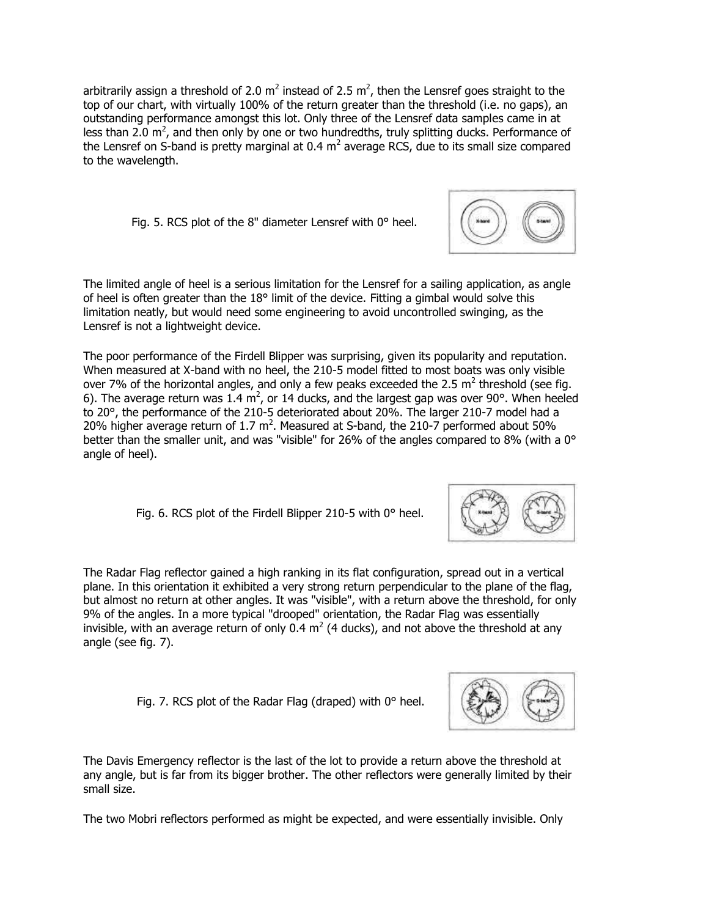arbitrarily assign a threshold of 2.0 m<sup>2</sup> instead of 2.5 m<sup>2</sup>, then the Lensref goes straight to the top of our chart, with virtually 100% of the return greater than the threshold (i.e. no gaps), an outstanding performance amongst this lot. Only three of the Lensref data samples came in at less than 2.0  $\text{m}^2$ , and then only by one or two hundredths, truly splitting ducks. Performance of the Lensref on S-band is pretty marginal at 0.4  $m^2$  average RCS, due to its small size compared to the wavelength.

Fig. 5. RCS plot of the 8" diameter Lensref with 0° heel.

The limited angle of heel is a serious limitation for the Lensref for a sailing application, as angle of heel is often greater than the 18° limit of the device. Fitting a gimbal would solve this limitation neatly, but would need some engineering to avoid uncontrolled swinging, as the Lensref is not a lightweight device.

The poor performance of the Firdell Blipper was surprising, given its popularity and reputation. When measured at X-band with no heel, the 210-5 model fitted to most boats was only visible over 7% of the horizontal angles, and only a few peaks exceeded the 2.5  $m^2$  threshold (see fig. 6). The average return was 1.4 m<sup>2</sup>, or 14 ducks, and the largest gap was over 90°. When heeled to 20°, the performance of the 210-5 deteriorated about 20%. The larger 210-7 model had a 20% higher average return of 1.7  $m^2$ . Measured at S-band, the 210-7 performed about 50% better than the smaller unit, and was "visible" for 26% of the angles compared to 8% (with a 0° angle of heel).

Fig. 6. RCS plot of the Firdell Blipper 210-5 with 0° heel.

The Radar Flag reflector gained a high ranking in its flat configuration, spread out in a vertical plane. In this orientation it exhibited a very strong return perpendicular to the plane of the flag, but almost no return at other angles. It was "visible", with a return above the threshold, for only 9% of the angles. In a more typical "drooped" orientation, the Radar Flag was essentially invisible, with an average return of only 0.4  $m^2$  (4 ducks), and not above the threshold at any angle (see fig. 7).

Fig. 7. RCS plot of the Radar Flag (draped) with 0° heel.

The Davis Emergency reflector is the last of the lot to provide a return above the threshold at any angle, but is far from its bigger brother. The other reflectors were generally limited by their small size.

The two Mobri reflectors performed as might be expected, and were essentially invisible. Only





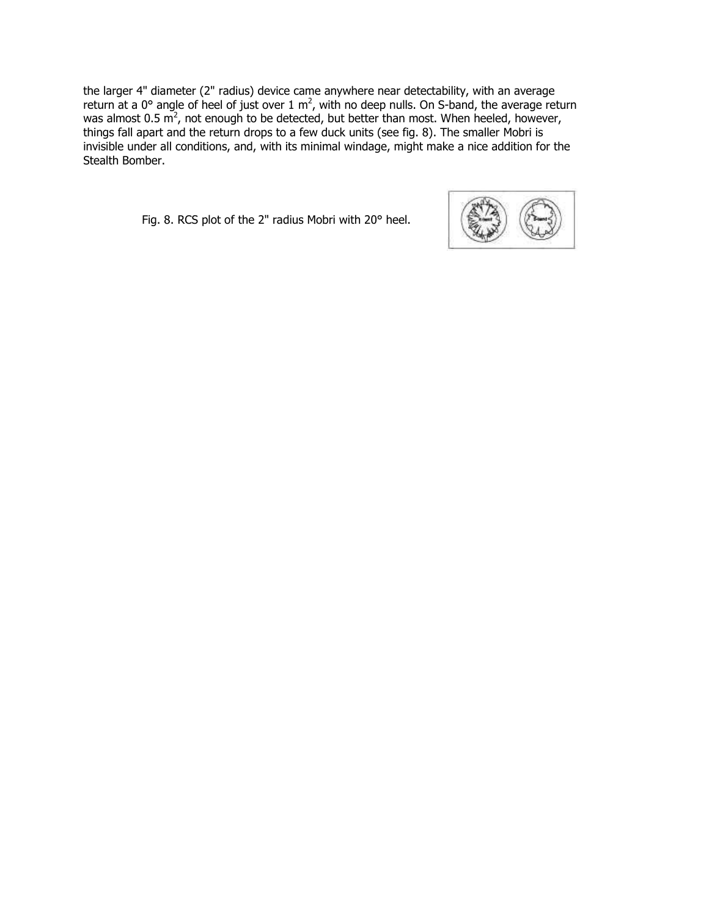the larger 4" diameter (2" radius) device came anywhere near detectability, with an average return at a 0° angle of heel of just over 1  $m^2$ , with no deep nulls. On S-band, the average return was almost 0.5  $\mathrm{m}^2$ , not enough to be detected, but better than most. When heeled, however, things fall apart and the return drops to a few duck units (see fig. 8). The smaller Mobri is invisible under all conditions, and, with its minimal windage, might make a nice addition for the Stealth Bomber.

Fig. 8. RCS plot of the 2" radius Mobri with 20° heel.

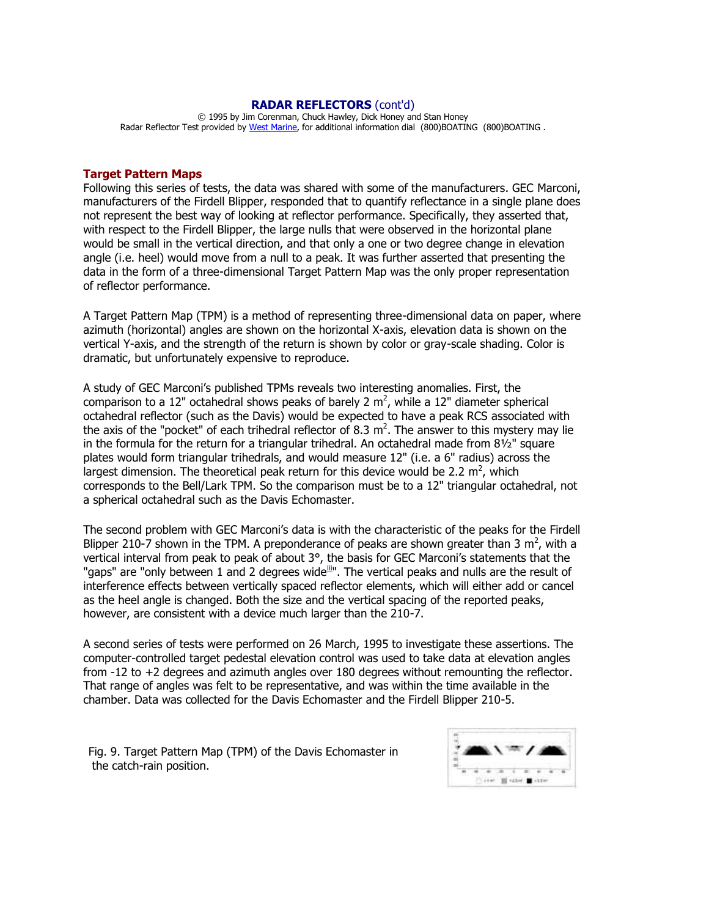#### **RADAR REFLECTORS** (cont'd)

© 1995 by Jim Corenman, Chuck Hawley, Dick Honey and Stan Honey Radar Reflector Test provided by [West Marine,](http://www.westmarine.com/) for additional information dial (800)BOATING (800)BOATING .

#### **Target Pattern Maps**

Following this series of tests, the data was shared with some of the manufacturers. GEC Marconi, manufacturers of the Firdell Blipper, responded that to quantify reflectance in a single plane does not represent the best way of looking at reflector performance. Specifically, they asserted that, with respect to the Firdell Blipper, the large nulls that were observed in the horizontal plane would be small in the vertical direction, and that only a one or two degree change in elevation angle (i.e. heel) would move from a null to a peak. It was further asserted that presenting the data in the form of a three-dimensional Target Pattern Map was the only proper representation of reflector performance.

A Target Pattern Map (TPM) is a method of representing three-dimensional data on paper, where azimuth (horizontal) angles are shown on the horizontal X-axis, elevation data is shown on the vertical Y-axis, and the strength of the return is shown by color or gray-scale shading. Color is dramatic, but unfortunately expensive to reproduce.

A study of GEC Marconi's published TPMs reveals two interesting anomalies. First, the comparison to a 12" octahedral shows peaks of barely 2  $m^2$ , while a 12" diameter spherical octahedral reflector (such as the Davis) would be expected to have a peak RCS associated with the axis of the "pocket" of each trihedral reflector of 8.3  $m^2$ . The answer to this mystery may lie in the formula for the return for a triangular trihedral. An octahedral made from 8½" square plates would form triangular trihedrals, and would measure 12" (i.e. a 6" radius) across the largest dimension. The theoretical peak return for this device would be 2.2  $m^2$ , which corresponds to the Bell/Lark TPM. So the comparison must be to a 12" triangular octahedral, not a spherical octahedral such as the Davis Echomaster.

The second problem with GEC Marconi's data is with the characteristic of the peaks for the Firdell Blipper 210-7 shown in the TPM. A preponderance of peaks are shown greater than 3 m<sup>2</sup>, with a vertical interval from peak to peak of about 3°, the basis for GEC Marconi's statements that the "gaps" are "only between 1 and 2 degrees wide $\overline{u}$ ". The vertical peaks and nulls are the result of interference effects between vertically spaced reflector elements, which will either add or cancel as the heel angle is changed. Both the size and the vertical spacing of the reported peaks, however, are consistent with a device much larger than the 210-7.

A second series of tests were performed on 26 March, 1995 to investigate these assertions. The computer-controlled target pedestal elevation control was used to take data at elevation angles from -12 to +2 degrees and azimuth angles over 180 degrees without remounting the reflector. That range of angles was felt to be representative, and was within the time available in the chamber. Data was collected for the Davis Echomaster and the Firdell Blipper 210-5.

Fig. 9. Target Pattern Map (TPM) of the Davis Echomaster in the catch-rain position.

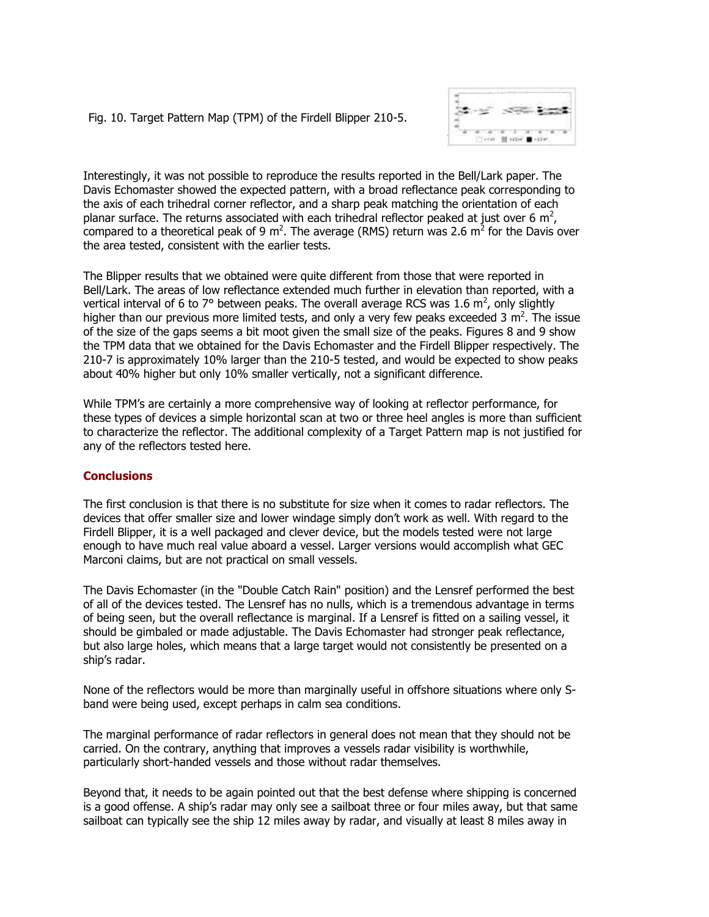Fig. 10. Target Pattern Map (TPM) of the Firdell Blipper 210-5.



Interestingly, it was not possible to reproduce the results reported in the Bell/Lark paper. The Davis Echomaster showed the expected pattern, with a broad reflectance peak corresponding to the axis of each trihedral corner reflector, and a sharp peak matching the orientation of each planar surface. The returns associated with each trihedral reflector peaked at just over 6 m<sup>2</sup>, compared to a theoretical peak of 9 m<sup>2</sup>. The average (RMS) return was 2.6 m<sup>2</sup> for the Davis over the area tested, consistent with the earlier tests.

The Blipper results that we obtained were quite different from those that were reported in Bell/Lark. The areas of low reflectance extended much further in elevation than reported, with a vertical interval of 6 to 7° between peaks. The overall average RCS was 1.6  $m^2$ , only slightly higher than our previous more limited tests, and only a very few peaks exceeded 3 m<sup>2</sup>. The issue of the size of the gaps seems a bit moot given the small size of the peaks. Figures 8 and 9 show the TPM data that we obtained for the Davis Echomaster and the Firdell Blipper respectively. The 210-7 is approximately 10% larger than the 210-5 tested, and would be expected to show peaks about 40% higher but only 10% smaller vertically, not a significant difference.

While TPM's are certainly a more comprehensive way of looking at reflector performance, for these types of devices a simple horizontal scan at two or three heel angles is more than sufficient to characterize the reflector. The additional complexity of a Target Pattern map is not justified for any of the reflectors tested here.

### **Conclusions**

The first conclusion is that there is no substitute for size when it comes to radar reflectors. The devices that offer smaller size and lower windage simply don't work as well. With regard to the Firdell Blipper, it is a well packaged and clever device, but the models tested were not large enough to have much real value aboard a vessel. Larger versions would accomplish what GEC Marconi claims, but are not practical on small vessels.

The Davis Echomaster (in the "Double Catch Rain" position) and the Lensref performed the best of all of the devices tested. The Lensref has no nulls, which is a tremendous advantage in terms of being seen, but the overall reflectance is marginal. If a Lensref is fitted on a sailing vessel, it should be gimbaled or made adjustable. The Davis Echomaster had stronger peak reflectance, but also large holes, which means that a large target would not consistently be presented on a ship's radar.

None of the reflectors would be more than marginally useful in offshore situations where only Sband were being used, except perhaps in calm sea conditions.

The marginal performance of radar reflectors in general does not mean that they should not be carried. On the contrary, anything that improves a vessels radar visibility is worthwhile, particularly short-handed vessels and those without radar themselves.

Beyond that, it needs to be again pointed out that the best defense where shipping is concerned is a good offense. A ship's radar may only see a sailboat three or four miles away, but that same sailboat can typically see the ship 12 miles away by radar, and visually at least 8 miles away in